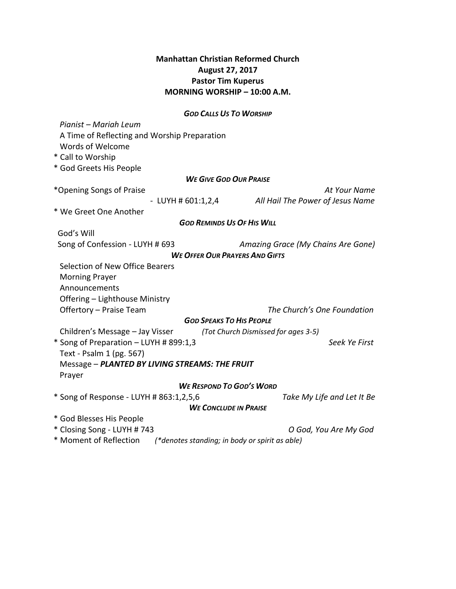## **Manhattan Christian Reformed Church August 27, 2017 Pastor Tim Kuperus MORNING WORSHIP – 10:00 A.M.**

#### *GOD CALLS US TO WORSHIP*

 *Pianist – Mariah Leum* A Time of Reflecting and Worship Preparation Words of Welcome \* Call to Worship \* God Greets His People *WE GIVE GOD OUR PRAISE* \*Opening Songs of Praise *At Your Name* - LUYH # 601:1,2,4 *All Hail The Power of Jesus Name* \* We Greet One Another *GOD REMINDS US OF HIS WILL* God's Will Song of Confession - LUYH # 693 *Amazing Grace (My Chains Are Gone) WE OFFER OUR PRAYERS AND GIFTS* Selection of New Office Bearers Morning Prayer Announcements Offering – Lighthouse Ministry Offertory – Praise Team *The Church's One Foundation GOD SPEAKS TO HIS PEOPLE* Children's Message – Jay Visser *(Tot Church Dismissed for ages 3-5)* \* Song of Preparation – LUYH # 899:1,3 *Seek Ye First* Text *-* Psalm 1 (pg. 567) Message – *PLANTED BY LIVING STREAMS: THE FRUIT* Prayer *WE RESPOND TO GOD'S WORD* \* Song of Response - LUYH # 863:1,2,5,6 *Take My Life and Let It Be WE CONCLUDE IN PRAISE* \* God Blesses His People \* Closing Song - LUYH # 743 *O God, You Are My God* 

\* Moment of Reflection *(\*denotes standing; in body or spirit as able)*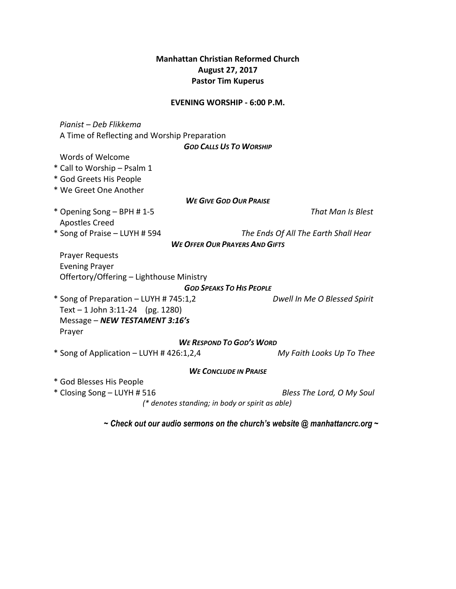## **Manhattan Christian Reformed Church August 27, 2017 Pastor Tim Kuperus**

#### **EVENING WORSHIP - 6:00 P.M.**

 *Pianist – Deb Flikkema* A Time of Reflecting and Worship Preparation *GOD CALLS US TO WORSHIP* Words of Welcome \* Call to Worship – Psalm 1 \* God Greets His People \* We Greet One Another *WE GIVE GOD OUR PRAISE* \* Opening Song – BPH # 1-5 *That Man Is Blest* Apostles Creed \* Song of Praise – LUYH # 594 *The Ends Of All The Earth Shall Hear WE OFFER OUR PRAYERS AND GIFTS* Prayer Requests Evening Prayer Offertory/Offering – Lighthouse Ministry *GOD SPEAKS TO HIS PEOPLE* \* Song of Preparation – LUYH # 745:1,2 *Dwell In Me O Blessed Spirit* Text – 1 John 3:11-24 (pg. 1280) Message – *NEW TESTAMENT 3:16's* Prayer *WE RESPOND TO GOD'S WORD* \* Song of Application – LUYH # 426:1,2,4 *My Faith Looks Up To Thee WE CONCLUDE IN PRAISE* \* God Blesses His People \* Closing Song – LUYH # 516 *Bless The Lord, O My Soul (\* denotes standing; in body or spirit as able) ~ Check out our audio sermons on the church's website @ manhattancrc.org ~*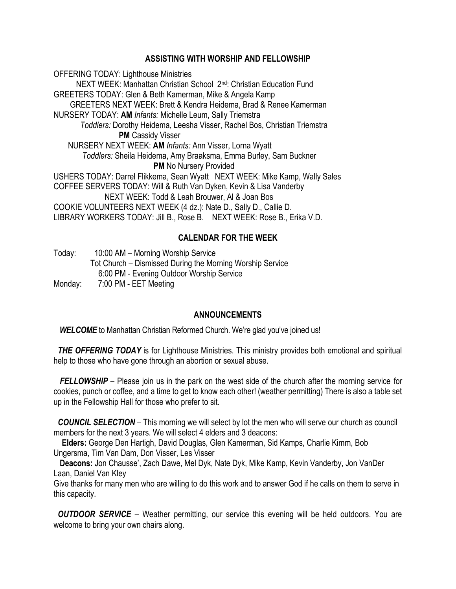## **ASSISTING WITH WORSHIP AND FELLOWSHIP**

OFFERING TODAY: Lighthouse Ministries NEXT WEEK: Manhattan Christian School 2nd: Christian Education Fund GREETERS TODAY: Glen & Beth Kamerman, Mike & Angela Kamp GREETERS NEXT WEEK: Brett & Kendra Heidema, Brad & Renee Kamerman NURSERY TODAY: **AM** *Infants:* Michelle Leum, Sally Triemstra  *Toddlers:* Dorothy Heidema, Leesha Visser, Rachel Bos, Christian Triemstra **PM** Cassidy Visser NURSERY NEXT WEEK: **AM** *Infants:* Ann Visser, Lorna Wyatt *Toddlers:* Sheila Heidema, Amy Braaksma, Emma Burley, Sam Buckner **PM** No Nursery Provided USHERS TODAY: Darrel Flikkema, Sean Wyatt NEXT WEEK: Mike Kamp, Wally Sales COFFEE SERVERS TODAY: Will & Ruth Van Dyken, Kevin & Lisa Vanderby NEXT WEEK: Todd & Leah Brouwer, Al & Joan Bos COOKIE VOLUNTEERS NEXT WEEK (4 dz.): Nate D., Sally D., Callie D. LIBRARY WORKERS TODAY: Jill B., Rose B. NEXT WEEK: Rose B., Erika V.D.

# **CALENDAR FOR THE WEEK**

Today: 10:00 AM – Morning Worship Service Tot Church – Dismissed During the Morning Worship Service 6:00 PM - Evening Outdoor Worship Service Monday: 7:00 PM - EET Meeting

### **ANNOUNCEMENTS**

**WELCOME** to Manhattan Christian Reformed Church. We're glad you've joined us!

**THE OFFERING TODAY** is for Lighthouse Ministries. This ministry provides both emotional and spiritual help to those who have gone through an abortion or sexual abuse.

*FELLOWSHIP* – Please join us in the park on the west side of the church after the morning service for cookies, punch or coffee, and a time to get to know each other! (weather permitting) There is also a table set up in the Fellowship Hall for those who prefer to sit.

 *COUNCIL SELECTION* – This morning we will select by lot the men who will serve our church as council members for the next 3 years. We will select 4 elders and 3 deacons:

 **Elders:** George Den Hartigh, David Douglas, Glen Kamerman, Sid Kamps, Charlie Kimm, Bob Ungersma, Tim Van Dam, Don Visser, Les Visser

 **Deacons:** Jon Chausse', Zach Dawe, Mel Dyk, Nate Dyk, Mike Kamp, Kevin Vanderby, Jon VanDer Laan, Daniel Van Kley

Give thanks for many men who are willing to do this work and to answer God if he calls on them to serve in this capacity.

*OUTDOOR SERVICE* – Weather permitting, our service this evening will be held outdoors. You are welcome to bring your own chairs along.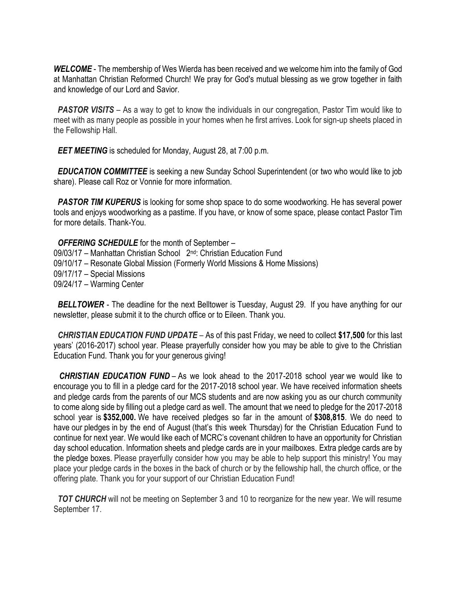*WELCOME* - The membership of Wes Wierda has been received and we welcome him into the family of God at Manhattan Christian Reformed Church! We pray for God's mutual blessing as we grow together in faith and knowledge of our Lord and Savior.

**PASTOR VISITS** – As a way to get to know the individuals in our congregation, Pastor Tim would like to meet with as many people as possible in your homes when he first arrives. Look for sign-up sheets placed in the Fellowship Hall.

*EET MEETING* is scheduled for Monday, August 28, at 7:00 p.m.

 *EDUCATION COMMITTEE* is seeking a new Sunday School Superintendent (or two who would like to job share). Please call Roz or Vonnie for more information.

**PASTOR TIM KUPERUS** is looking for some shop space to do some woodworking. He has several power tools and enjoys woodworking as a pastime. If you have, or know of some space, please contact Pastor Tim for more details. Thank-You.

*OFFERING SCHEDULE* for the month of September – 09/03/17 – Manhattan Christian School 2nd: Christian Education Fund 09/10/17 – Resonate Global Mission (Formerly World Missions & Home Missions) 09/17/17 – Special Missions 09/24/17 – Warming Center

**BELLTOWER** - The deadline for the next Belltower is Tuesday, August 29. If you have anything for our newsletter, please submit it to the church office or to Eileen. Thank you.

 *CHRISTIAN EDUCATION FUND UPDATE* – As of this past Friday, we need to collect **\$17,500** for this last years' (2016-2017) school year. Please prayerfully consider how you may be able to give to the Christian Education Fund. Thank you for your generous giving!

*CHRISTIAN EDUCATION FUND* – As we look ahead to the 2017-2018 school year we would like to encourage you to fill in a pledge card for the 2017-2018 school year. We have received information sheets and pledge cards from the parents of our MCS students and are now asking you as our church community to come along side by filling out a pledge card as well. The amount that we need to pledge for the 2017-2018 school year is **\$352,000.** We have received pledges so far in the amount of **\$308,815**. We do need to have our pledges in by the end of August (that's this week Thursday) for the Christian Education Fund to continue for next year. We would like each of MCRC's covenant children to have an opportunity for Christian day school education. Information sheets and pledge cards are in your mailboxes. Extra pledge cards are by the pledge boxes. Please prayerfully consider how you may be able to help support this ministry! You may place your pledge cards in the boxes in the back of church or by the fellowship hall, the church office, or the offering plate. Thank you for your support of our Christian Education Fund!

**TOT CHURCH** will not be meeting on September 3 and 10 to reorganize for the new year. We will resume September 17.